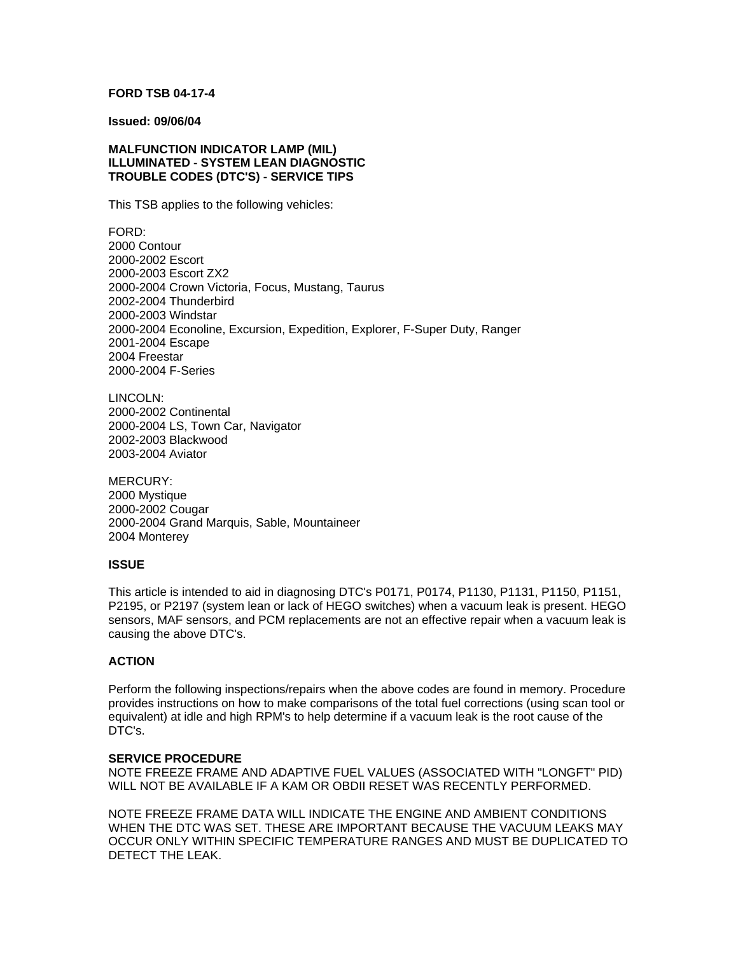# **FORD TSB 04-17-4**

#### **Issued: 09/06/04**

## **MALFUNCTION INDICATOR LAMP (MIL) ILLUMINATED - SYSTEM LEAN DIAGNOSTIC TROUBLE CODES (DTC'S) - SERVICE TIPS**

This TSB applies to the following vehicles:

FORD: 2000 Contour 2000-2002 Escort 2000-2003 Escort ZX2 2000-2004 Crown Victoria, Focus, Mustang, Taurus 2002-2004 Thunderbird 2000-2003 Windstar 2000-2004 Econoline, Excursion, Expedition, Explorer, F-Super Duty, Ranger 2001-2004 Escape 2004 Freestar 2000-2004 F-Series

LINCOLN: 2000-2002 Continental 2000-2004 LS, Town Car, Navigator 2002-2003 Blackwood 2003-2004 Aviator

MERCURY: 2000 Mystique 2000-2002 Cougar 2000-2004 Grand Marquis, Sable, Mountaineer 2004 Monterey

## **ISSUE**

This article is intended to aid in diagnosing DTC's P0171, P0174, P1130, P1131, P1150, P1151, P2195, or P2197 (system lean or lack of HEGO switches) when a vacuum leak is present. HEGO sensors, MAF sensors, and PCM replacements are not an effective repair when a vacuum leak is causing the above DTC's.

#### **ACTION**

Perform the following inspections/repairs when the above codes are found in memory. Procedure provides instructions on how to make comparisons of the total fuel corrections (using scan tool or equivalent) at idle and high RPM's to help determine if a vacuum leak is the root cause of the DTC's.

#### **SERVICE PROCEDURE**

NOTE FREEZE FRAME AND ADAPTIVE FUEL VALUES (ASSOCIATED WITH "LONGFT" PID) WILL NOT BE AVAILABLE IF A KAM OR OBDII RESET WAS RECENTLY PERFORMED.

NOTE FREEZE FRAME DATA WILL INDICATE THE ENGINE AND AMBIENT CONDITIONS WHEN THE DTC WAS SET. THESE ARE IMPORTANT BECAUSE THE VACUUM LEAKS MAY OCCUR ONLY WITHIN SPECIFIC TEMPERATURE RANGES AND MUST BE DUPLICATED TO DETECT THE LEAK.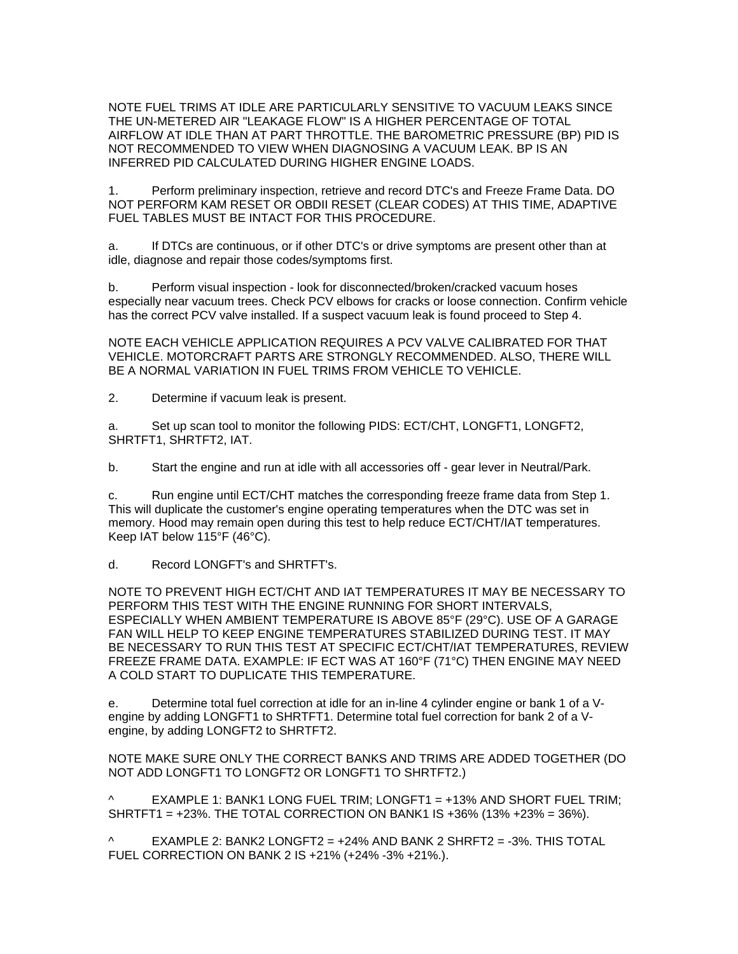NOTE FUEL TRIMS AT IDLE ARE PARTICULARLY SENSITIVE TO VACUUM LEAKS SINCE THE UN-METERED AIR "LEAKAGE FLOW" IS A HIGHER PERCENTAGE OF TOTAL AIRFLOW AT IDLE THAN AT PART THROTTLE. THE BAROMETRIC PRESSURE (BP) PID IS NOT RECOMMENDED TO VIEW WHEN DIAGNOSING A VACUUM LEAK. BP IS AN INFERRED PID CALCULATED DURING HIGHER ENGINE LOADS.

1. Perform preliminary inspection, retrieve and record DTC's and Freeze Frame Data. DO NOT PERFORM KAM RESET OR OBDII RESET (CLEAR CODES) AT THIS TIME, ADAPTIVE FUEL TABLES MUST BE INTACT FOR THIS PROCEDURE.

a. If DTCs are continuous, or if other DTC's or drive symptoms are present other than at idle, diagnose and repair those codes/symptoms first.

b. Perform visual inspection - look for disconnected/broken/cracked vacuum hoses especially near vacuum trees. Check PCV elbows for cracks or loose connection. Confirm vehicle has the correct PCV valve installed. If a suspect vacuum leak is found proceed to Step 4.

NOTE EACH VEHICLE APPLICATION REQUIRES A PCV VALVE CALIBRATED FOR THAT VEHICLE. MOTORCRAFT PARTS ARE STRONGLY RECOMMENDED. ALSO, THERE WILL BE A NORMAL VARIATION IN FUEL TRIMS FROM VEHICLE TO VEHICLE.

2. Determine if vacuum leak is present.

a. Set up scan tool to monitor the following PIDS: ECT/CHT, LONGFT1, LONGFT2, SHRTFT1, SHRTFT2, IAT.

b. Start the engine and run at idle with all accessories off - gear lever in Neutral/Park.

c. Run engine until ECT/CHT matches the corresponding freeze frame data from Step 1. This will duplicate the customer's engine operating temperatures when the DTC was set in memory. Hood may remain open during this test to help reduce ECT/CHT/IAT temperatures. Keep IAT below 115°F (46°C).

d. Record LONGFT's and SHRTFT's.

NOTE TO PREVENT HIGH ECT/CHT AND IAT TEMPERATURES IT MAY BE NECESSARY TO PERFORM THIS TEST WITH THE ENGINE RUNNING FOR SHORT INTERVALS, ESPECIALLY WHEN AMBIENT TEMPERATURE IS ABOVE 85°F (29°C). USE OF A GARAGE FAN WILL HELP TO KEEP ENGINE TEMPERATURES STABILIZED DURING TEST. IT MAY BE NECESSARY TO RUN THIS TEST AT SPECIFIC ECT/CHT/IAT TEMPERATURES, REVIEW FREEZE FRAME DATA. EXAMPLE: IF ECT WAS AT 160°F (71°C) THEN ENGINE MAY NEED A COLD START TO DUPLICATE THIS TEMPERATURE.

e. Determine total fuel correction at idle for an in-line 4 cylinder engine or bank 1 of a Vengine by adding LONGFT1 to SHRTFT1. Determine total fuel correction for bank 2 of a Vengine, by adding LONGFT2 to SHRTFT2.

NOTE MAKE SURE ONLY THE CORRECT BANKS AND TRIMS ARE ADDED TOGETHER (DO NOT ADD LONGFT1 TO LONGFT2 OR LONGFT1 TO SHRTFT2.)

 $\wedge$  EXAMPLE 1: BANK1 LONG FUEL TRIM; LONGFT1 = +13% AND SHORT FUEL TRIM; SHRTFT1 = +23%. THE TOTAL CORRECTION ON BANK1 IS +36% (13% +23% = 36%).

 $\wedge$  EXAMPLE 2: BANK2 LONGFT2 = +24% AND BANK 2 SHRFT2 = -3%. THIS TOTAL FUEL CORRECTION ON BANK 2 IS +21% (+24% -3% +21%.).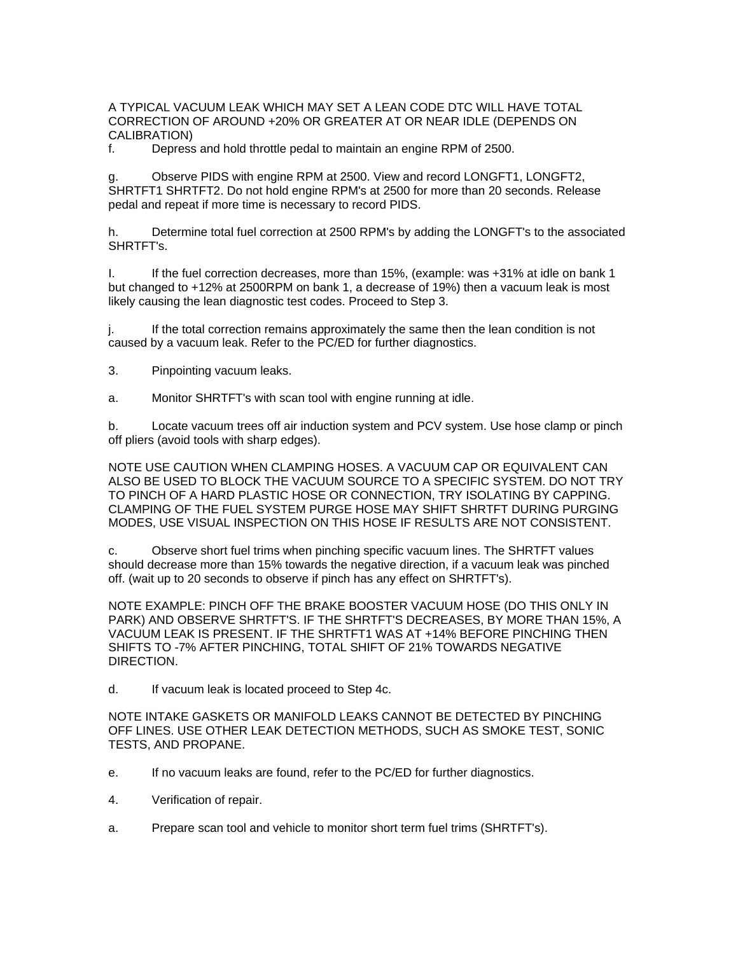A TYPICAL VACUUM LEAK WHICH MAY SET A LEAN CODE DTC WILL HAVE TOTAL CORRECTION OF AROUND +20% OR GREATER AT OR NEAR IDLE (DEPENDS ON CALIBRATION)

f. Depress and hold throttle pedal to maintain an engine RPM of 2500.

g. Observe PIDS with engine RPM at 2500. View and record LONGFT1, LONGFT2, SHRTFT1 SHRTFT2. Do not hold engine RPM's at 2500 for more than 20 seconds. Release pedal and repeat if more time is necessary to record PIDS.

h. Determine total fuel correction at 2500 RPM's by adding the LONGFT's to the associated SHRTFT's.

I. If the fuel correction decreases, more than 15%, (example: was +31% at idle on bank 1 but changed to +12% at 2500RPM on bank 1, a decrease of 19%) then a vacuum leak is most likely causing the lean diagnostic test codes. Proceed to Step 3.

j. If the total correction remains approximately the same then the lean condition is not caused by a vacuum leak. Refer to the PC/ED for further diagnostics.

3. Pinpointing vacuum leaks.

a. Monitor SHRTFT's with scan tool with engine running at idle.

b. Locate vacuum trees off air induction system and PCV system. Use hose clamp or pinch off pliers (avoid tools with sharp edges).

NOTE USE CAUTION WHEN CLAMPING HOSES. A VACUUM CAP OR EQUIVALENT CAN ALSO BE USED TO BLOCK THE VACUUM SOURCE TO A SPECIFIC SYSTEM. DO NOT TRY TO PINCH OF A HARD PLASTIC HOSE OR CONNECTION, TRY ISOLATING BY CAPPING. CLAMPING OF THE FUEL SYSTEM PURGE HOSE MAY SHIFT SHRTFT DURING PURGING MODES, USE VISUAL INSPECTION ON THIS HOSE IF RESULTS ARE NOT CONSISTENT.

c. Observe short fuel trims when pinching specific vacuum lines. The SHRTFT values should decrease more than 15% towards the negative direction, if a vacuum leak was pinched off. (wait up to 20 seconds to observe if pinch has any effect on SHRTFT's).

NOTE EXAMPLE: PINCH OFF THE BRAKE BOOSTER VACUUM HOSE (DO THIS ONLY IN PARK) AND OBSERVE SHRTFT'S. IF THE SHRTFT'S DECREASES, BY MORE THAN 15%, A VACUUM LEAK IS PRESENT. IF THE SHRTFT1 WAS AT +14% BEFORE PINCHING THEN SHIFTS TO -7% AFTER PINCHING, TOTAL SHIFT OF 21% TOWARDS NEGATIVE DIRECTION.

d. If vacuum leak is located proceed to Step 4c.

NOTE INTAKE GASKETS OR MANIFOLD LEAKS CANNOT BE DETECTED BY PINCHING OFF LINES. USE OTHER LEAK DETECTION METHODS, SUCH AS SMOKE TEST, SONIC TESTS, AND PROPANE.

- e. If no vacuum leaks are found, refer to the PC/ED for further diagnostics.
- 4. Verification of repair.
- a. Prepare scan tool and vehicle to monitor short term fuel trims (SHRTFT's).